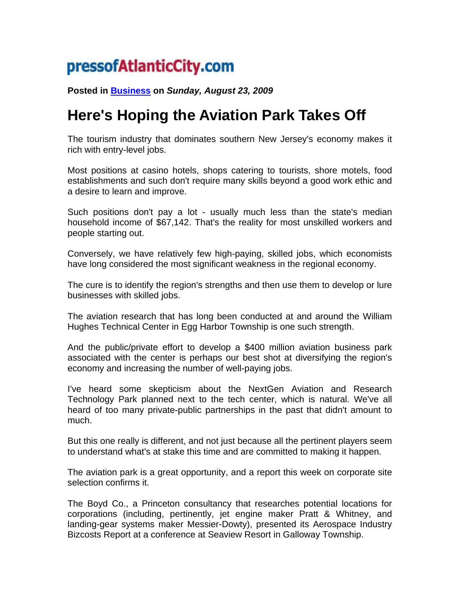## pressofAtlanticCity.com

**Posted in Business on** *Sunday, August 23, 2009* 

## **Here's Hoping the Aviation Park Takes Off**

The tourism industry that dominates southern New Jersey's economy makes it rich with entry-level jobs.

Most positions at casino hotels, shops catering to tourists, shore motels, food establishments and such don't require many skills beyond a good work ethic and a desire to learn and improve.

Such positions don't pay a lot - usually much less than the state's median household income of \$67,142. That's the reality for most unskilled workers and people starting out.

Conversely, we have relatively few high-paying, skilled jobs, which economists have long considered the most significant weakness in the regional economy.

The cure is to identify the region's strengths and then use them to develop or lure businesses with skilled jobs.

The aviation research that has long been conducted at and around the William Hughes Technical Center in Egg Harbor Township is one such strength.

And the public/private effort to develop a \$400 million aviation business park associated with the center is perhaps our best shot at diversifying the region's economy and increasing the number of well-paying jobs.

I've heard some skepticism about the NextGen Aviation and Research Technology Park planned next to the tech center, which is natural. We've all heard of too many private-public partnerships in the past that didn't amount to much.

But this one really is different, and not just because all the pertinent players seem to understand what's at stake this time and are committed to making it happen.

The aviation park is a great opportunity, and a report this week on corporate site selection confirms it.

The Boyd Co., a Princeton consultancy that researches potential locations for corporations (including, pertinently, jet engine maker Pratt & Whitney, and landing-gear systems maker Messier-Dowty), presented its Aerospace Industry Bizcosts Report at a conference at Seaview Resort in Galloway Township.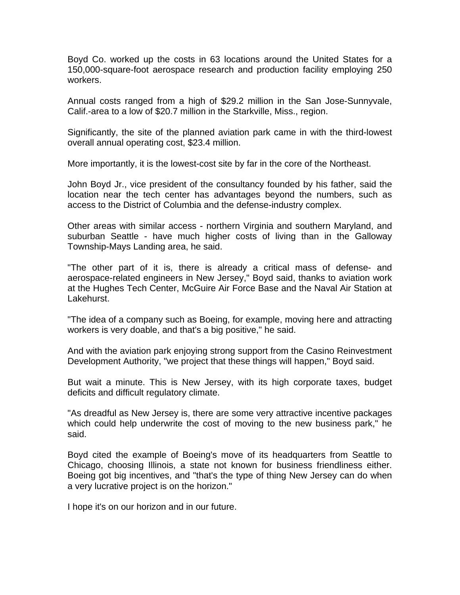Boyd Co. worked up the costs in 63 locations around the United States for a 150,000-square-foot aerospace research and production facility employing 250 workers.

Annual costs ranged from a high of \$29.2 million in the San Jose-Sunnyvale, Calif.-area to a low of \$20.7 million in the Starkville, Miss., region.

Significantly, the site of the planned aviation park came in with the third-lowest overall annual operating cost, \$23.4 million.

More importantly, it is the lowest-cost site by far in the core of the Northeast.

John Boyd Jr., vice president of the consultancy founded by his father, said the location near the tech center has advantages beyond the numbers, such as access to the District of Columbia and the defense-industry complex.

Other areas with similar access - northern Virginia and southern Maryland, and suburban Seattle - have much higher costs of living than in the Galloway Township-Mays Landing area, he said.

"The other part of it is, there is already a critical mass of defense- and aerospace-related engineers in New Jersey," Boyd said, thanks to aviation work at the Hughes Tech Center, McGuire Air Force Base and the Naval Air Station at Lakehurst.

"The idea of a company such as Boeing, for example, moving here and attracting workers is very doable, and that's a big positive," he said.

And with the aviation park enjoying strong support from the Casino Reinvestment Development Authority, "we project that these things will happen," Boyd said.

But wait a minute. This is New Jersey, with its high corporate taxes, budget deficits and difficult regulatory climate.

"As dreadful as New Jersey is, there are some very attractive incentive packages which could help underwrite the cost of moving to the new business park," he said.

Boyd cited the example of Boeing's move of its headquarters from Seattle to Chicago, choosing Illinois, a state not known for business friendliness either. Boeing got big incentives, and "that's the type of thing New Jersey can do when a very lucrative project is on the horizon."

I hope it's on our horizon and in our future.